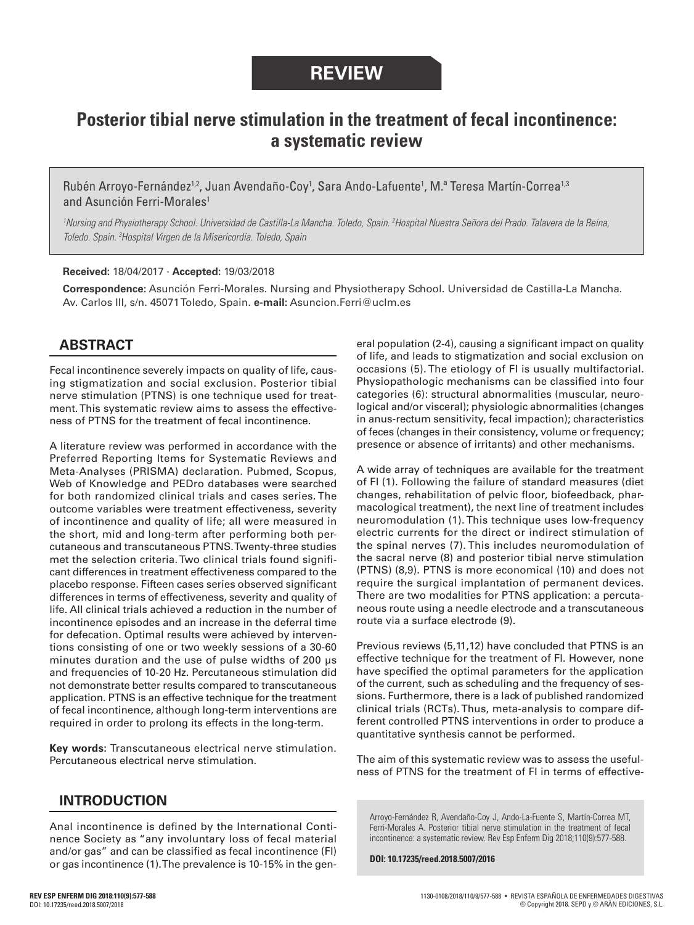# **REVIEW**

# **Posterior tibial nerve stimulation in the treatment of fecal incontinence: a systematic review**

Rubén Arroyo-Fernández<sup>1,2</sup>, Juan Avendaño-Coy<sup>1</sup>, Sara Ando-Lafuente<sup>1</sup>, M.ª Teresa Martín-Correa<sup>1,3</sup> and Asunción Ferri-Morales<sup>1</sup>

*1 Nursing and Physiotherapy School. Universidad de Castilla-La Mancha. Toledo, Spain. 2 Hospital Nuestra Señora del Prado. Talavera de la Reina, Toledo. Spain. 3 Hospital Virgen de la Misericordia. Toledo, Spain*

#### **Received:** 18/04/2017 · **Accepted:** 19/03/2018

**Correspondence:** Asunción Ferri-Morales. Nursing and Physiotherapy School. Universidad de Castilla-La Mancha. Av. Carlos III, s/n. 45071 Toledo, Spain. **e-mail:** Asuncion.Ferri@uclm.es

## **ABSTRACT**

Fecal incontinence severely impacts on quality of life, causing stigmatization and social exclusion. Posterior tibial nerve stimulation (PTNS) is one technique used for treatment. This systematic review aims to assess the effectiveness of PTNS for the treatment of fecal incontinence.

A literature review was performed in accordance with the Preferred Reporting Items for Systematic Reviews and Meta-Analyses (PRISMA) declaration. Pubmed, Scopus, Web of Knowledge and PEDro databases were searched for both randomized clinical trials and cases series. The outcome variables were treatment effectiveness, severity of incontinence and quality of life; all were measured in the short, mid and long-term after performing both percutaneous and transcutaneous PTNS. Twenty-three studies met the selection criteria. Two clinical trials found significant differences in treatment effectiveness compared to the placebo response. Fifteen cases series observed significant differences in terms of effectiveness, severity and quality of life. All clinical trials achieved a reduction in the number of incontinence episodes and an increase in the deferral time for defecation. Optimal results were achieved by interventions consisting of one or two weekly sessions of a 30-60 minutes duration and the use of pulse widths of 200 µs and frequencies of 10-20 Hz. Percutaneous stimulation did not demonstrate better results compared to transcutaneous application. PTNS is an effective technique for the treatment of fecal incontinence, although long-term interventions are required in order to prolong its effects in the long-term.

**Key words:** Transcutaneous electrical nerve stimulation. Percutaneous electrical nerve stimulation.

# **INTRODUCTION**

Anal incontinence is defined by the International Continence Society as "any involuntary loss of fecal material and/or gas" and can be classified as fecal incontinence (FI) or gas incontinence (1). The prevalence is 10-15% in the general population (2-4), causing a significant impact on quality of life, and leads to stigmatization and social exclusion on occasions (5). The etiology of FI is usually multifactorial. Physiopathologic mechanisms can be classified into four categories (6): structural abnormalities (muscular, neurological and/or visceral); physiologic abnormalities (changes in anus-rectum sensitivity, fecal impaction); characteristics of feces (changes in their consistency, volume or frequency; presence or absence of irritants) and other mechanisms.

A wide array of techniques are available for the treatment of FI (1). Following the failure of standard measures (diet changes, rehabilitation of pelvic floor, biofeedback, pharmacological treatment), the next line of treatment includes neuromodulation (1). This technique uses low-frequency electric currents for the direct or indirect stimulation of the spinal nerves (7). This includes neuromodulation of the sacral nerve (8) and posterior tibial nerve stimulation (PTNS) (8,9). PTNS is more economical (10) and does not require the surgical implantation of permanent devices. There are two modalities for PTNS application: a percutaneous route using a needle electrode and a transcutaneous route via a surface electrode (9).

Previous reviews (5,11,12) have concluded that PTNS is an effective technique for the treatment of FI. However, none have specified the optimal parameters for the application of the current, such as scheduling and the frequency of sessions. Furthermore, there is a lack of published randomized clinical trials (RCTs). Thus, meta-analysis to compare different controlled PTNS interventions in order to produce a quantitative synthesis cannot be performed.

The aim of this systematic review was to assess the usefulness of PTNS for the treatment of FI in terms of effective-

Arroyo-Fernández R, Avendaño-Coy J, Ando-La-Fuente S, Martín-Correa MT, Ferri-Morales A. Posterior tibial nerve stimulation in the treatment of fecal incontinence: a systematic review. Rev Esp Enferm Dig 2018;110(9):577-588.

**DOI: 10.17235/reed.2018.5007/2016**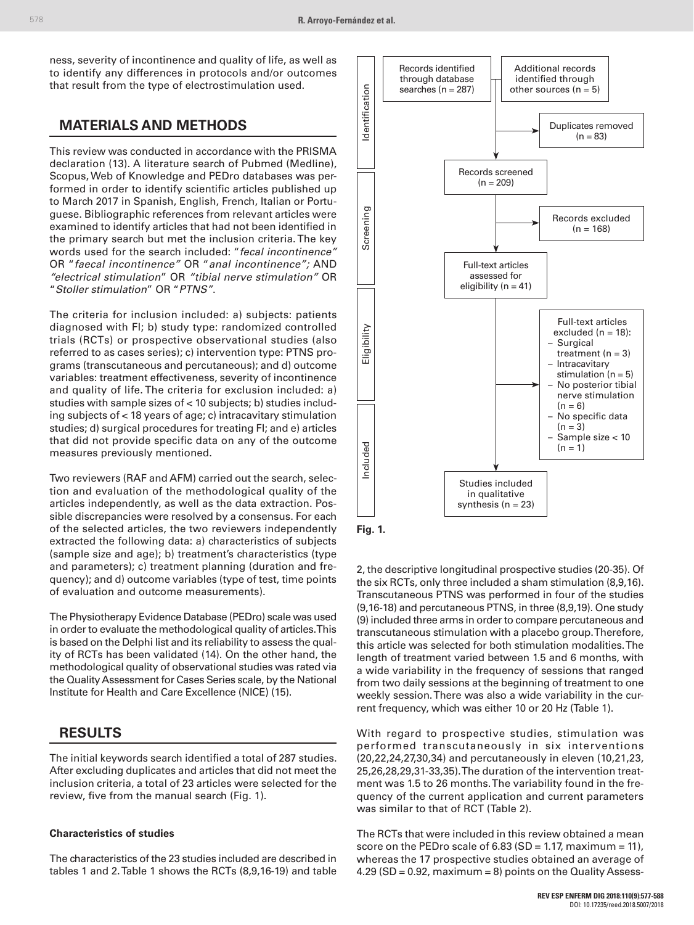ness, severity of incontinence and quality of life, as well as to identify any differences in protocols and/or outcomes that result from the type of electrostimulation used.

# **MATERIALS AND METHODS**

This review was conducted in accordance with the PRISMA declaration (13). A literature search of Pubmed (Medline), Scopus, Web of Knowledge and PEDro databases was performed in order to identify scientific articles published up to March 2017 in Spanish, English, French, Italian or Portuguese. Bibliographic references from relevant articles were examined to identify articles that had not been identified in the primary search but met the inclusion criteria. The key words used for the search included: "*fecal incontinence"* OR "*faecal incontinence"* OR "*anal incontinence";* AND *"electrical stimulation*" OR *"tibial nerve stimulation"* OR "*Stoller stimulation*" OR "*PTNS"*.

The criteria for inclusion included: a) subjects: patients diagnosed with FI; b) study type: randomized controlled trials (RCTs) or prospective observational studies (also referred to as cases series); c) intervention type: PTNS programs (transcutaneous and percutaneous); and d) outcome variables: treatment effectiveness, severity of incontinence and quality of life. The criteria for exclusion included: a) studies with sample sizes of < 10 subjects; b) studies including subjects of < 18 years of age; c) intracavitary stimulation studies; d) surgical procedures for treating FI; and e) articles that did not provide specific data on any of the outcome measures previously mentioned.

Two reviewers (RAF and AFM) carried out the search, selection and evaluation of the methodological quality of the articles independently, as well as the data extraction. Possible discrepancies were resolved by a consensus. For each of the selected articles, the two reviewers independently extracted the following data: a) characteristics of subjects (sample size and age); b) treatment's characteristics (type and parameters); c) treatment planning (duration and frequency); and d) outcome variables (type of test, time points of evaluation and outcome measurements).

The Physiotherapy Evidence Database (PEDro) scale was used in order to evaluate the methodological quality of articles. This is based on the Delphi list and its reliability to assess the quality of RCTs has been validated (14). On the other hand, the methodological quality of observational studies was rated via the Quality Assessment for Cases Series scale, by the National Institute for Health and Care Excellence (NICE) (15).

## **RESULTS**

The initial keywords search identified a total of 287 studies. After excluding duplicates and articles that did not meet the inclusion criteria, a total of 23 articles were selected for the review, five from the manual search (Fig. 1).

#### **Characteristics of studies**

The characteristics of the 23 studies included are described in tables 1 and 2. Table 1 shows the RCTs (8,9,16-19) and table





2, the descriptive longitudinal prospective studies (20-35). Of the six RCTs, only three included a sham stimulation (8,9,16). Transcutaneous PTNS was performed in four of the studies (9,16-18) and percutaneous PTNS, in three (8,9,19). One study (9) included three arms in order to compare percutaneous and transcutaneous stimulation with a placebo group. Therefore, this article was selected for both stimulation modalities. The length of treatment varied between 1.5 and 6 months, with a wide variability in the frequency of sessions that ranged from two daily sessions at the beginning of treatment to one weekly session. There was also a wide variability in the current frequency, which was either 10 or 20 Hz (Table 1).

With regard to prospective studies, stimulation was performed transcutaneously in six interventions (20,22,24,27,30,34) and percutaneously in eleven (10,21,23, 25,26,28,29,31-33,35). The duration of the intervention treatment was 1.5 to 26 months. The variability found in the frequency of the current application and current parameters was similar to that of RCT (Table 2).

The RCTs that were included in this review obtained a mean score on the PEDro scale of  $6.83$  (SD = 1.17, maximum = 11), whereas the 17 prospective studies obtained an average of 4.29 (SD =  $0.92$ , maximum = 8) points on the Quality Assess-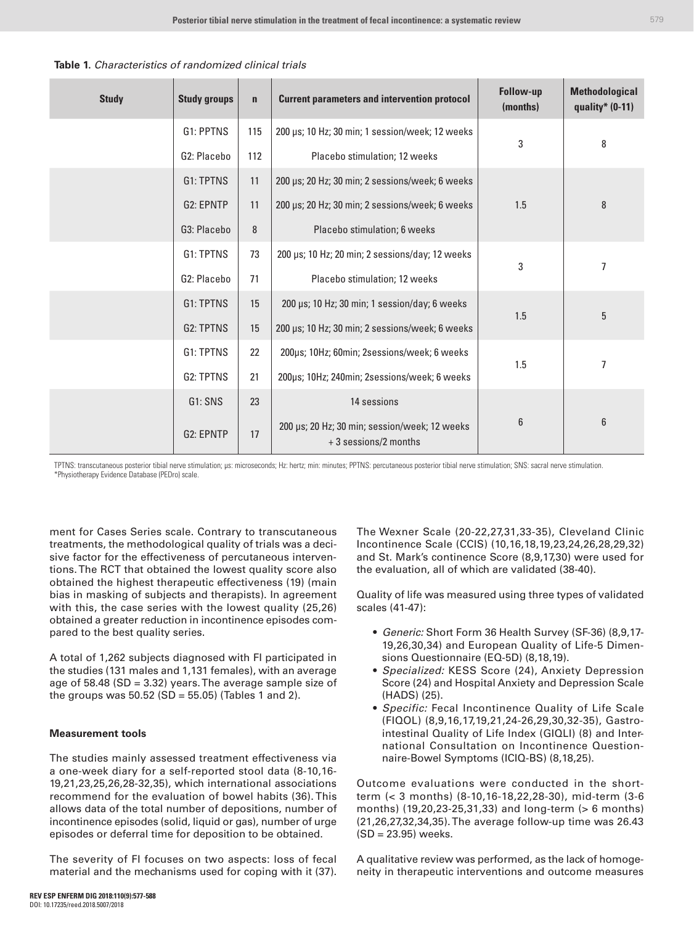| <b>Study</b> | <b>Study groups</b>    | $\mathbf n$ | <b>Current parameters and intervention protocol</b>                    | Follow-up<br>(months) | <b>Methodological</b><br>quality $*$ (0-11) |
|--------------|------------------------|-------------|------------------------------------------------------------------------|-----------------------|---------------------------------------------|
|              | G1: PPTNS              | 115         | 200 µs; 10 Hz; 30 min; 1 session/week; 12 weeks                        | 3                     |                                             |
|              | G2: Placebo            | 112         | Placebo stimulation; 12 weeks                                          |                       | 8                                           |
|              | G1: TPTNS              | 11          | 200 µs; 20 Hz; 30 min; 2 sessions/week; 6 weeks                        |                       |                                             |
|              | G <sub>2</sub> : EPNTP | 11          | 200 µs; 20 Hz; 30 min; 2 sessions/week; 6 weeks                        | 1.5                   | 8                                           |
|              | G3: Placebo            | 8           | Placebo stimulation; 6 weeks                                           |                       |                                             |
|              | G1: TPTNS              | 73          | 200 µs; 10 Hz; 20 min; 2 sessions/day; 12 weeks                        |                       |                                             |
|              | G2: Placebo            | 71          | Placebo stimulation; 12 weeks                                          | 3                     | 7                                           |
|              | G1: TPTNS              | 15          | 200 µs; 10 Hz; 30 min; 1 session/day; 6 weeks                          |                       |                                             |
|              | G <sub>2</sub> : TPTNS | 15          | 200 µs; 10 Hz; 30 min; 2 sessions/week; 6 weeks                        | 1.5                   | $\overline{5}$                              |
|              | G1: TPTNS              | 22          | 200µs; 10Hz; 60min; 2sessions/week; 6 weeks                            |                       |                                             |
|              | G <sub>2</sub> : TPTNS | 21          | 200µs; 10Hz; 240min; 2sessions/week; 6 weeks                           | 1.5                   | 7                                           |
|              | G1: SNS                | 23          | 14 sessions                                                            |                       |                                             |
|              | G2: EPNTP              | 17          | 200 µs; 20 Hz; 30 min; session/week; 12 weeks<br>+ 3 sessions/2 months | $\boldsymbol{6}$      | $\boldsymbol{6}$                            |

**Table 1.** *Characteristics of randomized clinical trials*

TPTNS: transcutaneous posterior tibial nerve stimulation; µs: microseconds; Hz: hertz; min: minutes; PPTNS: percutaneous posterior tibial nerve stimulation; SNS: sacral nerve stimulation. \*Physiotherapy Evidence Database (PEDro) scale.

ment for Cases Series scale. Contrary to transcutaneous treatments, the methodological quality of trials was a decisive factor for the effectiveness of percutaneous interventions. The RCT that obtained the lowest quality score also obtained the highest therapeutic effectiveness (19) (main bias in masking of subjects and therapists). In agreement with this, the case series with the lowest quality (25.26) obtained a greater reduction in incontinence episodes compared to the best quality series.

A total of 1,262 subjects diagnosed with FI participated in the studies (131 males and 1,131 females), with an average age of 58.48 (SD = 3.32) years. The average sample size of the groups was  $50.52$  (SD = 55.05) (Tables 1 and 2).

#### **Measurement tools**

The studies mainly assessed treatment effectiveness via a one-week diary for a self-reported stool data (8-10,16- 19,21,23,25,26,28-32,35), which international associations recommend for the evaluation of bowel habits (36). This allows data of the total number of depositions, number of incontinence episodes (solid, liquid or gas), number of urge episodes or deferral time for deposition to be obtained.

The severity of FI focuses on two aspects: loss of fecal material and the mechanisms used for coping with it (37).

The Wexner Scale (20-22,27,31,33-35), Cleveland Clinic Incontinence Scale (CCIS) (10,16,18,19,23,24,26,28,29,32) and St. Mark's continence Score (8,9,17,30) were used for the evaluation, all of which are validated (38-40).

Quality of life was measured using three types of validated scales (41-47):

- *Generic:* Short Form 36 Health Survey (SF-36) (8,9,17- 19,26,30,34) and European Quality of Life-5 Dimensions Questionnaire (EQ-5D) (8,18,19).
- *Specialized:* KESS Score (24), Anxiety Depression Score (24) and Hospital Anxiety and Depression Scale (HADS) (25).
- *Specific:* Fecal Incontinence Quality of Life Scale (FIQOL) (8,9,16,17,19,21,24-26,29,30,32-35), Gastrointestinal Quality of Life Index (GIQLI) (8) and International Consultation on Incontinence Questionnaire-Bowel Symptoms (ICIQ-BS) (8,18,25).

Outcome evaluations were conducted in the shortterm (< 3 months) (8-10,16-18,22,28-30), mid-term (3-6 months) (19,20,23-25,31,33) and long-term (> 6 months) (21,26,27,32,34,35). The average follow-up time was 26.43 (SD = 23.95) weeks.

A qualitative review was performed, as the lack of homogeneity in therapeutic interventions and outcome measures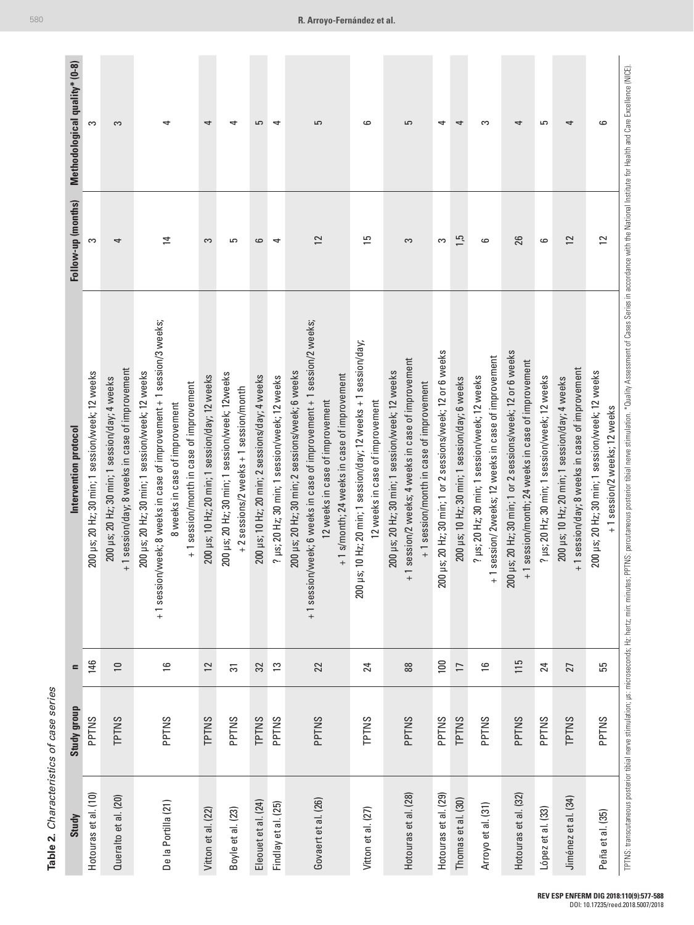| Study                | Study group  | $\equiv$        | Intervention protocol                                                                                                                                                                                                                       | Follow-up (months) | Methodological quality* (0-8)                                                                                       |
|----------------------|--------------|-----------------|---------------------------------------------------------------------------------------------------------------------------------------------------------------------------------------------------------------------------------------------|--------------------|---------------------------------------------------------------------------------------------------------------------|
| Hotouras et al. (10) | <b>PPTNS</b> | 146             | 200 µs; 20 Hz; 30 min; 1 session/week; 12 weeks                                                                                                                                                                                             | S                  | က                                                                                                                   |
| Queralto et al. (20) | <b>TPTNS</b> | $\overline{10}$ | +1 session/day; 8 weeks in case of improvement<br>200 µs; 20 Hz; 30 min; 1 session/day; 4 weeks                                                                                                                                             | 4                  | S                                                                                                                   |
| De la Portilla (21)  | <b>PPTNS</b> | $\frac{6}{1}$   | +1 session/week; 8 weeks in case of improvement +1 session/3 weeks;<br>200 µs; 20 Hz; 30 min; 1 session/week; 12 weeks<br>+1 session/month in case of improvement<br>8 weeks in case of improvement                                         | $\overline{4}$     | 4                                                                                                                   |
| Vitton et al. (22)   | <b>TPTNS</b> | 12              | 200 µs; 10 Hz; 20 min; 1 session/day; 12 weeks                                                                                                                                                                                              | S                  | 4                                                                                                                   |
| Boyle et al. (23)    | PPTNS        | 51              | 200 µs; 20 Hz; 30 min; 1 session/week; 12weeks<br>+2 sessions/2 weeks + 1 session/month                                                                                                                                                     | 5                  | 4                                                                                                                   |
| Eleouet et al. (24)  | <b>TPTNS</b> | 32              | 200 µs; 10 Hz; 20 min; 2 sessions/day; 4 weeks                                                                                                                                                                                              | 6                  | 5                                                                                                                   |
| Findlay et al. (25)  | <b>PPTNS</b> | $\tilde{c}$     | ? µs; 20 Hz; 30 min; 1 session/week; 12 weeks                                                                                                                                                                                               | 4                  | 4                                                                                                                   |
| Govaert et al. (26)  | <b>PPTNS</b> | 22              | +1 session/week; 6 weeks in case of improvement + 1 session/2 weeks;<br>200 µs; 20 Hz; 30 min; 2 sessions/week; 6 weeks<br>+1 s/month; 24 weeks in case of improvement<br>12 weeks in case of improvement                                   | $\approx$          | 5                                                                                                                   |
| Vitton et al. (27)   | <b>TPTNS</b> | 24              | 200 µs; 10 Hz; 20 min; 1 session/day; 12 weeks + 1 session/day;<br>12 weeks in case of improvement                                                                                                                                          | 15                 | 9                                                                                                                   |
| Hotouras et al. (28) | <b>PPTNS</b> | $88$            | 1 session/2 weeks; 4 weeks in case of improvement<br>200 µs; 20 Hz; 30 min; 1 session/week; 12 weeks<br>+1 session/month in case of improvement                                                                                             | S                  | 5                                                                                                                   |
| Hotouras et al. (29) | <b>PPTNS</b> | 100             | 200 µs; 20 Hz; 30 min; 1 or 2 sessions/week; 12 or 6 weeks                                                                                                                                                                                  | S                  | 4                                                                                                                   |
| Thomas et al. (30)   | <b>TPTNS</b> | $\Box$          | 200 µs; 10 Hz; 30 min; 1 session/day; 6 weeks                                                                                                                                                                                               | 1,5                | 4                                                                                                                   |
| Arroyo et al. (31)   | <b>PPTNS</b> | $\frac{1}{2}$   | session/2weeks; 12 weeks in case of improvement<br>? µs; 20 Hz; 30 min; 1 session/week; 12 weeks<br>$-$                                                                                                                                     | 9                  | S                                                                                                                   |
| Hotouras et al. (32) | <b>PPTNS</b> | 115             | 200 µs; 20 Hz; 30 min; 1 or 2 sessions/week; 12 or 6 weeks<br>+1 session/month; 24 weeks in case of improvement                                                                                                                             | 26                 | 4                                                                                                                   |
| López et al. (33)    | PPTNS        | 24              | ? µs; 20 Hz; 30 min; 1 session/week; 12 weeks                                                                                                                                                                                               | ص                  | 5                                                                                                                   |
| Jiménez et al. (34)  | <b>TPTNS</b> | 27              | +1 session/day; 8 weeks in case of improvement<br>200 µs; 10 Hz; 20 min; 1 session/day; 4 weeks                                                                                                                                             | 12                 | 4                                                                                                                   |
| Peña et al. (35)     | PPTNS        | 55              | 200 µs; 20 Hz; 30 min; 1 session/week; 12 weeks<br>+1 session/2 weeks; 12 weeks<br>TPTNC-transcutanonis postarior tibial napia stimulation: us: microsaconds: Hortz: mini mai nita e PPTNC: naroitanonis postarior tibial napia stimulation | $\overline{2}$     | Nuality Assocment of Pases Series in accordance with the National Institute for Health and Pare Evrellence MIP<br>9 |

TPTNS: transputaneous posterior tibial nerve stimulation; us: microseconds; Hz: hertz; min: min: microseconds; Hz: PTNS: percutaneous posterior tibial nerve stimulation, \* Quality Assessment of Cases Series in accordance w

**Table 2.** *Characteristics of case series*

Table 2. Characteristics of case series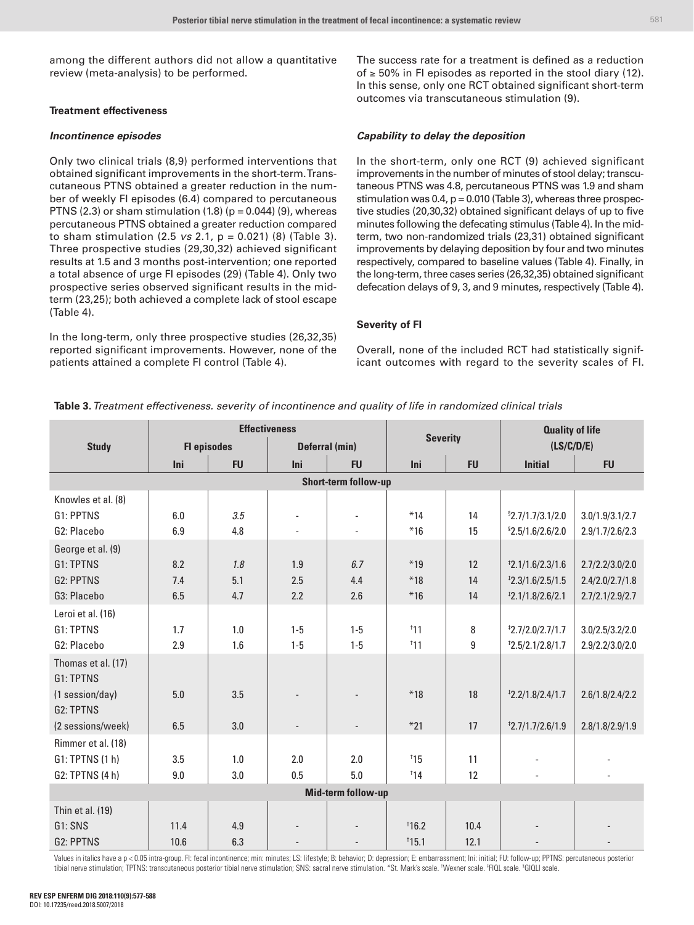among the different authors did not allow a quantitative review (meta-analysis) to be performed.

### **Treatment effectiveness**

### *Incontinence episodes*

Only two clinical trials (8,9) performed interventions that obtained significant improvements in the short-term. Transcutaneous PTNS obtained a greater reduction in the number of weekly FI episodes (6.4) compared to percutaneous PTNS (2.3) or sham stimulation (1.8) ( $p = 0.044$ ) (9), whereas percutaneous PTNS obtained a greater reduction compared to sham stimulation (2.5 *vs* 2.1, p = 0.021) (8) (Table 3). Three prospective studies (29,30,32) achieved significant results at 1.5 and 3 months post-intervention; one reported a total absence of urge FI episodes (29) (Table 4). Only two prospective series observed significant results in the midterm (23,25); both achieved a complete lack of stool escape (Table 4).

In the long-term, only three prospective studies (26,32,35) reported significant improvements. However, none of the patients attained a complete FI control (Table 4).

The success rate for a treatment is defined as a reduction of ≥ 50% in FI episodes as reported in the stool diary (12). In this sense, only one RCT obtained significant short-term outcomes via transcutaneous stimulation (9).

### *Capability to delay the deposition*

In the short-term, only one RCT (9) achieved significant improvements in the number of minutes of stool delay; transcutaneous PTNS was 4.8, percutaneous PTNS was 1.9 and sham stimulation was  $0.4$ ,  $p = 0.010$  (Table 3), whereas three prospective studies (20,30,32) obtained significant delays of up to five minutes following the defecating stimulus (Table 4). In the midterm, two non-randomized trials (23,31) obtained significant improvements by delaying deposition by four and two minutes respectively, compared to baseline values (Table 4). Finally, in the long-term, three cases series (26,32,35) obtained significant defecation delays of 9, 3, and 9 minutes, respectively (Table 4).

### **Severity of FI**

Overall, none of the included RCT had statistically significant outcomes with regard to the severity scales of FI.

**Table 3.** *Treatment effectiveness. severity of incontinence and quality of life in randomized clinical trials*

|                                     |                    |           | <b>Effectiveness</b>     |                          | <b>Severity</b> |                | <b>Quality of life</b> |                 |  |
|-------------------------------------|--------------------|-----------|--------------------------|--------------------------|-----------------|----------------|------------------------|-----------------|--|
| <b>Study</b>                        | <b>FI</b> episodes |           |                          | Deferral (min)           |                 |                | (LS/C/D/E)             |                 |  |
|                                     | Ini                | <b>FU</b> | Ini                      | <b>FU</b>                | Ini             | <b>FU</b>      | <b>Initial</b>         | <b>FU</b>       |  |
|                                     |                    |           |                          | Short-term follow-up     |                 |                |                        |                 |  |
| Knowles et al. (8)                  |                    |           |                          |                          |                 |                |                        |                 |  |
| <b>G1: PPTNS</b>                    | 6.0                | 3.5       | L.                       | $\overline{\phantom{a}}$ | $*14$           | 14             | \$2.7/1.7/3.1/2.0      | 3.0/1.9/3.1/2.7 |  |
| G2: Placebo                         | 6.9                | 4.8       | ÷,                       | $\overline{\phantom{a}}$ | $*16$           | 15             | \$2.5/1.6/2.6/2.0      | 2.9/1.7/2.6/2.3 |  |
| George et al. (9)                   |                    |           |                          |                          |                 |                |                        |                 |  |
| <b>G1: TPTNS</b>                    | 8.2                | 1.8       | 1.9                      | 6.7                      | $*19$           | 12             | $*2.1/1.6/2.3/1.6$     | 2.7/2.2/3.0/2.0 |  |
| <b>G2: PPTNS</b>                    | 7.4                | 5.1       | 2.5                      | 4.4                      | $*18$           | 14             | 2.3/1.6/2.5/1.5        | 2.4/2.0/2.7/1.8 |  |
| G3: Placebo                         | 6.5                | 4.7       | 2.2                      | 2.6                      | $*16$           | 14             | $*2.1/1.8/2.6/2.1$     | 2.7/2.1/2.9/2.7 |  |
| Leroi et al. (16)                   |                    |           |                          |                          |                 |                |                        |                 |  |
| G1: TPTNS                           | 1.7                | 1.0       | $1 - 5$                  | $1 - 5$                  | 111             | 8              | 2.7/2.0/2.7/1.7        | 3.0/2.5/3.2/2.0 |  |
| G2: Placebo                         | 2.9                | 1.6       | $1 - 5$                  | $1 - 5$                  | 111             | $\overline{9}$ | $*2.5/2.1/2.8/1.7$     | 2.9/2.2/3.0/2.0 |  |
| Thomas et al. (17)                  |                    |           |                          |                          |                 |                |                        |                 |  |
| <b>G1: TPTNS</b>                    |                    |           |                          |                          |                 |                |                        |                 |  |
| (1 session/day)<br><b>G2: TPTNS</b> | 5.0                | 3.5       |                          |                          | $*18$           | 18             | 2.2/1.8/2.4/1.7        | 2.6/1.8/2.4/2.2 |  |
| (2 sessions/week)                   | 6.5                | 3.0       | $\overline{\phantom{a}}$ | $\overline{\phantom{a}}$ | $*21$           | 17             | 2.7/1.7/2.6/1.9        | 2.8/1.8/2.9/1.9 |  |
| Rimmer et al. (18)                  |                    |           |                          |                          |                 |                |                        |                 |  |
| G1: TPTNS (1 h)                     | 3.5                | 1.0       | 2.0                      | 2.0                      | 115             | 11             |                        |                 |  |
| G2: TPTNS (4 h)                     | 9.0                | 3.0       | 0.5                      | 5.0                      | 114             | 12             |                        | $\overline{a}$  |  |
|                                     |                    |           |                          | Mid-term follow-up       |                 |                |                        |                 |  |
| Thin et al. (19)                    |                    |           |                          |                          |                 |                |                        |                 |  |
| G1: SNS                             | 11.4               | 4.9       |                          | $\overline{a}$           | 116.2           | 10.4           |                        |                 |  |
| <b>G2: PPTNS</b>                    | 10.6               | 6.3       |                          |                          | $*15.1$         | 12.1           |                        |                 |  |

Values in italics have a p < 0.05 intra-group. Fl: fecal incontinence; min: minutes; LS: lifestyle; B: behavior; D: depression; E: embarrassment; Ini: initial; FU: follow-up; PPTNS: percutaneous posterior tibial nerve stimulation; TPTNS: transcutaneous posterior tibial nerve stimulation; SNS: sacral nerve stimulation. \*St. Mark's scale. <sup>†</sup>Wexner scale. ‡FIQL scale. <sup>§</sup>GIQLI scale.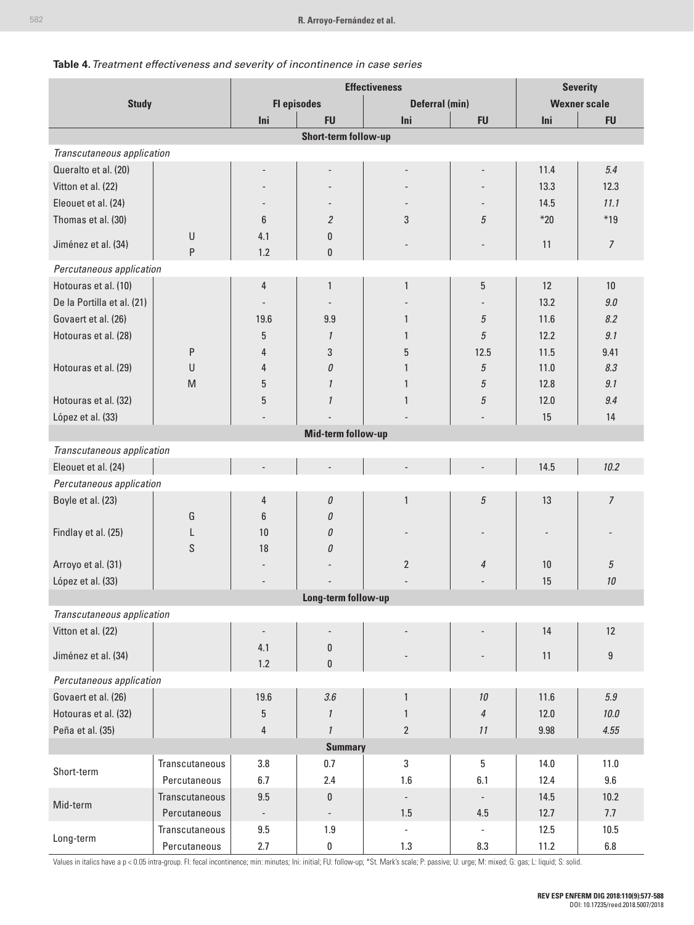|  | Table 4. Treatment effectiveness and severity of incontinence in case series |  |  |  |  |
|--|------------------------------------------------------------------------------|--|--|--|--|
|  |                                                                              |  |  |  |  |

|                            |                |                          | <b>Effectiveness</b>     | <b>Severity</b>          |                          |       |                     |  |
|----------------------------|----------------|--------------------------|--------------------------|--------------------------|--------------------------|-------|---------------------|--|
| <b>Study</b>               |                |                          | <b>FI</b> episodes       | Deferral (min)           |                          |       | <b>Wexner scale</b> |  |
|                            |                | Ini                      | <b>FU</b>                | Ini                      | <b>FU</b>                | Ini   | <b>FU</b>           |  |
|                            |                |                          | Short-term follow-up     |                          |                          |       |                     |  |
| Transcutaneous application |                |                          |                          |                          |                          |       |                     |  |
| Queralto et al. (20)       |                |                          |                          |                          |                          | 11.4  | 5.4                 |  |
| Vitton et al. (22)         |                |                          |                          |                          |                          | 13.3  | 12.3                |  |
| Eleouet et al. (24)        |                |                          | $\overline{\phantom{a}}$ |                          |                          | 14.5  | 11.1                |  |
| Thomas et al. (30)         |                | $6\phantom{1}$           | $\overline{2}$           | 3                        | $\sqrt{5}$               | $*20$ | $*19$               |  |
| Jiménez et al. (34)        | U              | 4.1                      | 0                        |                          | $\overline{\phantom{a}}$ | 11    | $\boldsymbol{7}$    |  |
|                            | P              | 1.2                      | 0                        |                          |                          |       |                     |  |
| Percutaneous application   |                |                          |                          |                          |                          |       |                     |  |
| Hotouras et al. (10)       |                | 4                        | $\mathbf{1}$             | $\mathbf{1}$             | 5                        | 12    | 10                  |  |
| De la Portilla et al. (21) |                |                          | $\overline{\phantom{a}}$ |                          |                          | 13.2  | 9.0                 |  |
| Govaert et al. (26)        |                | 19.6                     | 9.9                      | $\mathbf{1}$             | 5                        | 11.6  | 8.2                 |  |
| Hotouras et al. (28)       |                | 5                        | $\mathcal{I}$            | 1                        | 5                        | 12.2  | 9.1                 |  |
|                            | P              | $\overline{4}$           | 3                        | 5                        | 12.5                     | 11.5  | 9.41                |  |
| Hotouras et al. (29)       | U              | 4                        | 0                        | 1                        | 5                        | 11.0  | 8.3                 |  |
|                            | M              | 5                        | $\mathcal{I}$            | $\mathbf{1}$             | 5                        | 12.8  | 9.1                 |  |
| Hotouras et al. (32)       |                | $\sqrt{5}$               | $\mathcal{I}$            | $\mathbf{1}$             | $\sqrt{5}$               | 12.0  | 9.4                 |  |
| López et al. (33)          |                |                          |                          |                          | $\overline{\phantom{a}}$ | 15    | 14                  |  |
|                            |                |                          | Mid-term follow-up       |                          |                          |       |                     |  |
| Transcutaneous application |                |                          |                          |                          |                          |       |                     |  |
| Eleouet et al. (24)        |                |                          |                          |                          |                          | 14.5  | 10.2                |  |
| Percutaneous application   |                |                          |                          |                          |                          |       |                     |  |
| Boyle et al. (23)          |                | 4                        | 0                        | $\mathbf{1}$             | 5                        | 13    | 7                   |  |
|                            | G              | $6\phantom{1}$           | 0                        |                          |                          |       |                     |  |
| Findlay et al. (25)        | L              | 10                       | 0                        |                          |                          |       |                     |  |
|                            | S              | 18                       | 0                        |                          |                          |       |                     |  |
| Arroyo et al. (31)         |                |                          |                          | 2                        | 4                        | 10    | 5                   |  |
| López et al. (33)          |                | $\overline{\phantom{a}}$ |                          |                          |                          | 15    | 10                  |  |
|                            |                |                          | Long-term follow-up      |                          |                          |       |                     |  |
| Transcutaneous application |                |                          |                          |                          |                          |       |                     |  |
| Vitton et al. (22)         |                |                          |                          |                          |                          | 14    | 12                  |  |
| Jiménez et al. (34)        |                | 4.1                      | $\pmb{0}$                |                          |                          | 11    | $\boldsymbol{9}$    |  |
| $1.2\,$<br>0               |                |                          |                          |                          |                          |       |                     |  |
| Percutaneous application   |                |                          |                          | $\mathbf{1}$             | $10$                     | 11.6  | 5.9                 |  |
| Govaert et al. (26)        |                | 19.6                     | $3.6\,$                  |                          |                          |       |                     |  |
| Hotouras et al. (32)       |                | 5                        | $\mathbf{1}$             | $\mathbf{1}$             | $\sqrt{4}$               | 12.0  | 10.0                |  |
| Peña et al. (35)           |                | $\sqrt{4}$               | $\boldsymbol{\eta}$      | $\overline{2}$           | 11                       | 9.98  | $4.55\,$            |  |
|                            | Transcutaneous | 3.8                      | <b>Summary</b><br>0.7    | $\mathbf 3$              | 5                        | 14.0  | 11.0                |  |
| Short-term                 | Percutaneous   | 6.7                      |                          | 1.6                      |                          | 12.4  | 9.6                 |  |
|                            | Transcutaneous |                          | 2.4                      |                          | 6.1                      |       |                     |  |
| Mid-term                   |                | 9.5                      | 0                        | $\overline{\phantom{a}}$ | $\overline{\phantom{a}}$ | 14.5  | 10.2                |  |
|                            | Percutaneous   | $\blacksquare$           | $\overline{\phantom{a}}$ | 1.5                      | 4.5                      | 12.7  | 7.7                 |  |
| Long-term                  | Transcutaneous | 9.5                      | $1.9$                    | $\blacksquare$           | $\blacksquare$           | 12.5  | 10.5                |  |
|                            | Percutaneous   | 2.7                      | 0                        | 1.3                      | 8.3                      | 11.2  | 6.8                 |  |

Values in italics have a p < 0.05 intra-group. FI: fecal incontinence; min: minutes; Ini: initial; FU: follow-up; \*St. Mark's scale; P: passive; U: urge; M: mixed; G: gas; L: liquid; S: solid.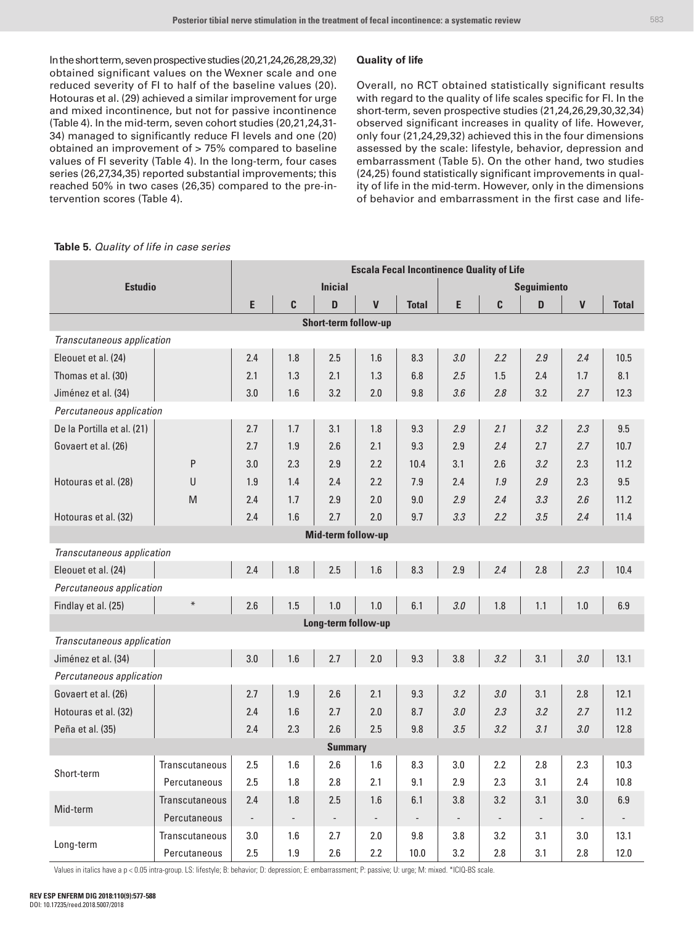In the short term, seven prospective studies (20,21,24,26,28,29,32) obtained significant values on the Wexner scale and one reduced severity of FI to half of the baseline values (20). Hotouras et al. (29) achieved a similar improvement for urge and mixed incontinence, but not for passive incontinence (Table 4). In the mid-term, seven cohort studies (20,21,24,31- 34) managed to significantly reduce FI levels and one (20) obtained an improvement of > 75% compared to baseline values of FI severity (Table 4). In the long-term, four cases series (26,27,34,35) reported substantial improvements; this reached 50% in two cases (26,35) compared to the pre-intervention scores (Table 4).

### **Quality of life**

Overall, no RCT obtained statistically significant results with regard to the quality of life scales specific for FI. In the short-term, seven prospective studies (21,24,26,29,30,32,34) observed significant increases in quality of life. However, only four (21,24,29,32) achieved this in the four dimensions assessed by the scale: lifestyle, behavior, depression and embarrassment (Table 5). On the other hand, two studies (24,25) found statistically significant improvements in quality of life in the mid-term. However, only in the dimensions of behavior and embarrassment in the first case and life-

#### **Table 5.** *Quality of life in case series*

|                            |                       | <b>Escala Fecal Incontinence Quality of Life</b> |                          |                          |                          |                          |                          |                          |                          |                          |                          |
|----------------------------|-----------------------|--------------------------------------------------|--------------------------|--------------------------|--------------------------|--------------------------|--------------------------|--------------------------|--------------------------|--------------------------|--------------------------|
| <b>Estudio</b>             |                       |                                                  |                          | <b>Inicial</b>           |                          |                          |                          |                          | <b>Seguimiento</b>       |                          |                          |
|                            |                       | E                                                | $\mathbf c$              | D                        | $\mathbf v$              | <b>Total</b>             | E                        | $\mathbf c$              | D                        | $\pmb{\mathsf{V}}$       | <b>Total</b>             |
|                            |                       |                                                  |                          | Short-term follow-up     |                          |                          |                          |                          |                          |                          |                          |
| Transcutaneous application |                       |                                                  |                          |                          |                          |                          |                          |                          |                          |                          |                          |
| Eleouet et al. (24)        |                       | 2.4                                              | 1.8                      | 2.5                      | 1.6                      | 8.3                      | 3.0                      | 2.2                      | 2.9                      | 2.4                      | 10.5                     |
| Thomas et al. (30)         |                       | 2.1                                              | 1.3                      | 2.1                      | 1.3                      | 6.8                      | 2.5                      | 1.5                      | 2.4                      | 1.7                      | 8.1                      |
| Jiménez et al. (34)        |                       | 3.0                                              | 1.6                      | 3.2                      | 2.0                      | 9.8                      | 3.6                      | 2.8                      | 3.2                      | 2.7                      | 12.3                     |
| Percutaneous application   |                       |                                                  |                          |                          |                          |                          |                          |                          |                          |                          |                          |
| De la Portilla et al. (21) |                       | 2.7                                              | 1.7                      | 3.1                      | 1.8                      | 9.3                      | 2.9                      | 2.1                      | 3.2                      | 2.3                      | 9.5                      |
| Govaert et al. (26)        |                       | 2.7                                              | 1.9                      | 2.6                      | 2.1                      | 9.3                      | 2.9                      | 2.4                      | 2.7                      | 2.7                      | 10.7                     |
|                            | P                     | 3.0                                              | 2.3                      | 2.9                      | 2.2                      | 10.4                     | 3.1                      | 2.6                      | 3.2                      | 2.3                      | 11.2                     |
| Hotouras et al. (28)       | U                     | 1.9                                              | 1.4                      | 2.4                      | 2.2                      | 7.9                      | 2.4                      | 1.9                      | 2.9                      | 2.3                      | 9.5                      |
|                            | M                     | 2.4                                              | 1.7                      | 2.9                      | 2.0                      | 9.0                      | 2.9                      | 2.4                      | 3.3                      | 2.6                      | 11.2                     |
| Hotouras et al. (32)       |                       | 2.4                                              | 1.6                      | 2.7                      | 2.0                      | 9.7                      | 3.3                      | 2.2                      | 3.5                      | 2.4                      | 11.4                     |
|                            |                       |                                                  |                          | Mid-term follow-up       |                          |                          |                          |                          |                          |                          |                          |
| Transcutaneous application |                       |                                                  |                          |                          |                          |                          |                          |                          |                          |                          |                          |
| Eleouet et al. (24)        |                       | 2.4                                              | 1.8                      | 2.5                      | 1.6                      | 8.3                      | 2.9                      | 2.4                      | 2.8                      | 2.3                      | 10.4                     |
| Percutaneous application   |                       |                                                  |                          |                          |                          |                          |                          |                          |                          |                          |                          |
| Findlay et al. (25)        | $\ast$                | 2.6                                              | 1.5                      | 1.0                      | 1.0                      | 6.1                      | 3.0                      | 1.8                      | 1.1                      | 1.0                      | 6.9                      |
|                            |                       |                                                  |                          | Long-term follow-up      |                          |                          |                          |                          |                          |                          |                          |
| Transcutaneous application |                       |                                                  |                          |                          |                          |                          |                          |                          |                          |                          |                          |
| Jiménez et al. (34)        |                       | 3.0                                              | 1.6                      | 2.7                      | 2.0                      | 9.3                      | 3.8                      | 3.2                      | 3.1                      | 3.0                      | 13.1                     |
| Percutaneous application   |                       |                                                  |                          |                          |                          |                          |                          |                          |                          |                          |                          |
| Govaert et al. (26)        |                       | 2.7                                              | 1.9                      | 2.6                      | 2.1                      | 9.3                      | 3.2                      | 3.0                      | 3.1                      | 2.8                      | 12.1                     |
| Hotouras et al. (32)       |                       | 2.4                                              | 1.6                      | 2.7                      | 2.0                      | 8.7                      | 3.0                      | 2.3                      | 3.2                      | 2.7                      | 11.2                     |
| Peña et al. (35)           |                       | 2.4                                              | 2.3                      | 2.6                      | 2.5                      | 9.8                      | 3.5                      | 3.2                      | 3.1                      | 3.0                      | 12.8                     |
|                            |                       |                                                  |                          | <b>Summary</b>           |                          |                          |                          |                          |                          |                          |                          |
| Short-term                 | <b>Transcutaneous</b> | 2.5                                              | 1.6                      | 2.6                      | 1.6                      | 8.3                      | 3.0                      | 2.2                      | 2.8                      | 2.3                      | 10.3                     |
|                            | Percutaneous          | 2.5                                              | 1.8                      | 2.8                      | 2.1                      | 9.1                      | 2.9                      | 2.3                      | 3.1                      | 2.4                      | 10.8                     |
| Mid-term                   | <b>Transcutaneous</b> | 2.4                                              | 1.8                      | 2.5                      | 1.6                      | 6.1                      | 3.8                      | 3.2                      | 3.1                      | 3.0                      | 6.9                      |
|                            | Percutaneous          | $\overline{\phantom{a}}$                         | $\overline{\phantom{a}}$ | $\overline{\phantom{a}}$ | $\overline{\phantom{a}}$ | $\overline{\phantom{0}}$ | $\overline{\phantom{a}}$ | $\overline{\phantom{a}}$ | $\overline{\phantom{a}}$ | $\overline{\phantom{a}}$ | $\overline{\phantom{a}}$ |
|                            | Transcutaneous        | 3.0                                              | 1.6                      | 2.7                      | 2.0                      | 9.8                      | 3.8                      | 3.2                      | 3.1                      | $3.0\,$                  | 13.1                     |
| Long-term                  | Percutaneous          | 2.5                                              | 1.9                      | 2.6                      | 2.2                      | 10.0                     | 3.2                      | 2.8                      | 3.1                      | 2.8                      | 12.0                     |

Values in italics have a p < 0.05 intra-group. LS: lifestyle; B: behavior; D: depression; E: embarrassment; P: passive; U: urge; M: mixed. \*ICIQ-BS scale.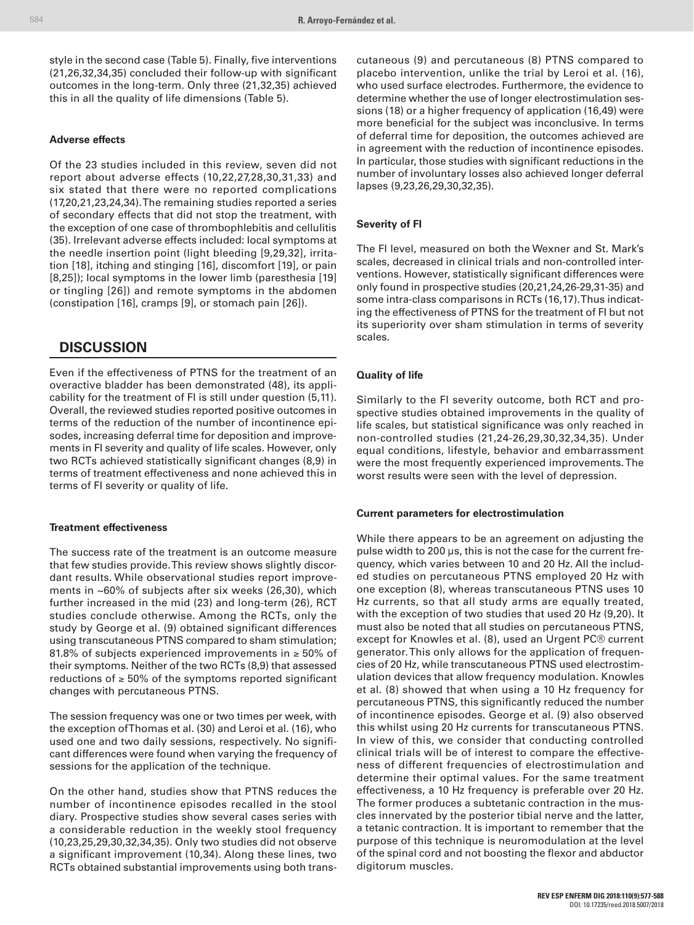style in the second case (Table 5). Finally, five interventions (21,26,32,34,35) concluded their follow-up with significant outcomes in the long-term. Only three (21,32,35) achieved this in all the quality of life dimensions (Table 5).

#### **Adverse effects**

Of the 23 studies included in this review, seven did not report about adverse effects (10,22,27,28,30,31,33) and six stated that there were no reported complications (17,20,21,23,24,34). The remaining studies reported a series of secondary effects that did not stop the treatment, with the exception of one case of thrombophlebitis and cellulitis (35). Irrelevant adverse effects included: local symptoms at the needle insertion point (light bleeding [9,29,32], irritation [18], itching and stinging [16], discomfort [19], or pain [8,25]); local symptoms in the lower limb (paresthesia [19] or tingling [26]) and remote symptoms in the abdomen (constipation [16], cramps [9], or stomach pain [26]).

### **DISCUSSION**

Even if the effectiveness of PTNS for the treatment of an overactive bladder has been demonstrated (48), its applicability for the treatment of FI is still under question (5,11). Overall, the reviewed studies reported positive outcomes in terms of the reduction of the number of incontinence episodes, increasing deferral time for deposition and improvements in FI severity and quality of life scales. However, only two RCTs achieved statistically significant changes (8,9) in terms of treatment effectiveness and none achieved this in terms of FI severity or quality of life.

#### **Treatment effectiveness**

The success rate of the treatment is an outcome measure that few studies provide. This review shows slightly discordant results. While observational studies report improvements in ~60% of subjects after six weeks (26,30), which further increased in the mid (23) and long-term (26), RCT studies conclude otherwise. Among the RCTs, only the study by George et al. (9) obtained significant differences using transcutaneous PTNS compared to sham stimulation; 81.8% of subjects experienced improvements in ≥ 50% of their symptoms. Neither of the two RCTs (8,9) that assessed reductions of  $\geq 50\%$  of the symptoms reported significant changes with percutaneous PTNS.

The session frequency was one or two times per week, with the exception of Thomas et al. (30) and Leroi et al. (16), who used one and two daily sessions, respectively. No significant differences were found when varying the frequency of sessions for the application of the technique.

On the other hand, studies show that PTNS reduces the number of incontinence episodes recalled in the stool diary. Prospective studies show several cases series with a considerable reduction in the weekly stool frequency (10,23,25,29,30,32,34,35). Only two studies did not observe a significant improvement (10,34). Along these lines, two RCTs obtained substantial improvements using both transcutaneous (9) and percutaneous (8) PTNS compared to placebo intervention, unlike the trial by Leroi et al. (16), who used surface electrodes. Furthermore, the evidence to determine whether the use of longer electrostimulation sessions (18) or a higher frequency of application (16,49) were more beneficial for the subject was inconclusive. In terms of deferral time for deposition, the outcomes achieved are in agreement with the reduction of incontinence episodes. In particular, those studies with significant reductions in the number of involuntary losses also achieved longer deferral lapses (9,23,26,29,30,32,35).

#### **Severity of FI**

The FI level, measured on both the Wexner and St. Mark's scales, decreased in clinical trials and non-controlled interventions. However, statistically significant differences were only found in prospective studies (20,21,24,26-29,31-35) and some intra-class comparisons in RCTs (16,17). Thus indicating the effectiveness of PTNS for the treatment of FI but not its superiority over sham stimulation in terms of severity scales.

#### **Quality of life**

Similarly to the FI severity outcome, both RCT and prospective studies obtained improvements in the quality of life scales, but statistical significance was only reached in non-controlled studies (21,24-26,29,30,32,34,35). Under equal conditions, lifestyle, behavior and embarrassment were the most frequently experienced improvements. The worst results were seen with the level of depression.

#### **Current parameters for electrostimulation**

While there appears to be an agreement on adjusting the pulse width to 200 µs, this is not the case for the current frequency, which varies between 10 and 20 Hz. All the included studies on percutaneous PTNS employed 20 Hz with one exception (8), whereas transcutaneous PTNS uses 10 Hz currents, so that all study arms are equally treated, with the exception of two studies that used 20 Hz (9,20). It must also be noted that all studies on percutaneous PTNS, except for Knowles et al. (8), used an Urgent PC® current generator. This only allows for the application of frequencies of 20 Hz, while transcutaneous PTNS used electrostimulation devices that allow frequency modulation. Knowles et al. (8) showed that when using a 10 Hz frequency for percutaneous PTNS, this significantly reduced the number of incontinence episodes. George et al. (9) also observed this whilst using 20 Hz currents for transcutaneous PTNS. In view of this, we consider that conducting controlled clinical trials will be of interest to compare the effectiveness of different frequencies of electrostimulation and determine their optimal values. For the same treatment effectiveness, a 10 Hz frequency is preferable over 20 Hz. The former produces a subtetanic contraction in the muscles innervated by the posterior tibial nerve and the latter, a tetanic contraction. It is important to remember that the purpose of this technique is neuromodulation at the level of the spinal cord and not boosting the flexor and abductor digitorum muscles.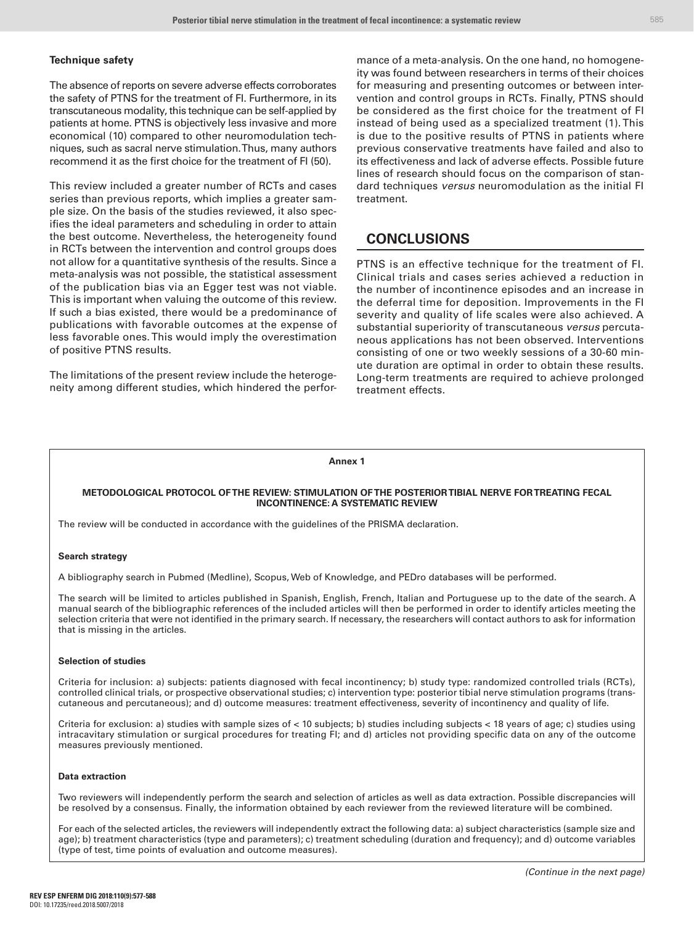#### **Technique safety**

The absence of reports on severe adverse effects corroborates the safety of PTNS for the treatment of FI. Furthermore, in its transcutaneous modality, this technique can be self-applied by patients at home. PTNS is objectively less invasive and more economical (10) compared to other neuromodulation techniques, such as sacral nerve stimulation. Thus, many authors recommend it as the first choice for the treatment of FI (50).

This review included a greater number of RCTs and cases series than previous reports, which implies a greater sample size. On the basis of the studies reviewed, it also specifies the ideal parameters and scheduling in order to attain the best outcome. Nevertheless, the heterogeneity found in RCTs between the intervention and control groups does not allow for a quantitative synthesis of the results. Since a meta-analysis was not possible, the statistical assessment of the publication bias via an Egger test was not viable. This is important when valuing the outcome of this review. If such a bias existed, there would be a predominance of publications with favorable outcomes at the expense of less favorable ones. This would imply the overestimation of positive PTNS results.

The limitations of the present review include the heterogeneity among different studies, which hindered the perfor-

mance of a meta-analysis. On the one hand, no homogeneity was found between researchers in terms of their choices for measuring and presenting outcomes or between intervention and control groups in RCTs. Finally, PTNS should be considered as the first choice for the treatment of FI instead of being used as a specialized treatment (1). This is due to the positive results of PTNS in patients where previous conservative treatments have failed and also to its effectiveness and lack of adverse effects. Possible future lines of research should focus on the comparison of standard techniques *versus* neuromodulation as the initial FI treatment.

# **CONCLUSIONS**

PTNS is an effective technique for the treatment of FI. Clinical trials and cases series achieved a reduction in the number of incontinence episodes and an increase in the deferral time for deposition. Improvements in the FI severity and quality of life scales were also achieved. A substantial superiority of transcutaneous *versus* percutaneous applications has not been observed. Interventions consisting of one or two weekly sessions of a 30-60 minute duration are optimal in order to obtain these results. Long-term treatments are required to achieve prolonged treatment effects.

#### **Annex 1**

#### **METODOLOGICAL PROTOCOL OF THE REVIEW: STIMULATION OF THE POSTERIOR TIBIAL NERVE FOR TREATING FECAL INCONTINENCE: A SYSTEMATIC REVIEW**

The review will be conducted in accordance with the guidelines of the PRISMA declaration.

#### **Search strategy**

A bibliography search in Pubmed (Medline), Scopus, Web of Knowledge, and PEDro databases will be performed.

The search will be limited to articles published in Spanish, English, French, Italian and Portuguese up to the date of the search. A manual search of the bibliographic references of the included articles will then be performed in order to identify articles meeting the selection criteria that were not identified in the primary search. If necessary, the researchers will contact authors to ask for information that is missing in the articles.

#### **Selection of studies**

Criteria for inclusion: a) subjects: patients diagnosed with fecal incontinency; b) study type: randomized controlled trials (RCTs), controlled clinical trials, or prospective observational studies; c) intervention type: posterior tibial nerve stimulation programs (transcutaneous and percutaneous); and d) outcome measures: treatment effectiveness, severity of incontinency and quality of life.

Criteria for exclusion: a) studies with sample sizes of < 10 subjects; b) studies including subjects < 18 years of age; c) studies using intracavitary stimulation or surgical procedures for treating FI; and d) articles not providing specific data on any of the outcome measures previously mentioned.

#### **Data extraction**

Two reviewers will independently perform the search and selection of articles as well as data extraction. Possible discrepancies will be resolved by a consensus. Finally, the information obtained by each reviewer from the reviewed literature will be combined.

For each of the selected articles, the reviewers will independently extract the following data: a) subject characteristics (sample size and age); b) treatment characteristics (type and parameters); c) treatment scheduling (duration and frequency); and d) outcome variables (type of test, time points of evaluation and outcome measures).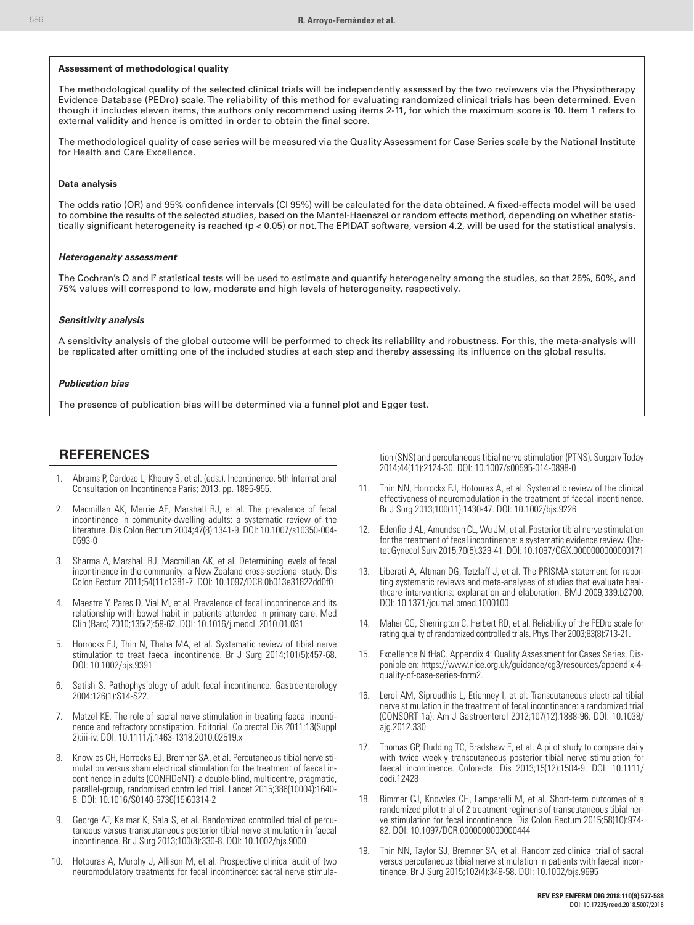#### **Assessment of methodological quality**

The methodological quality of the selected clinical trials will be independently assessed by the two reviewers via the Physiotherapy Evidence Database (PEDro) scale. The reliability of this method for evaluating randomized clinical trials has been determined. Even though it includes eleven items, the authors only recommend using items 2-11, for which the maximum score is 10. Item 1 refers to external validity and hence is omitted in order to obtain the final score.

The methodological quality of case series will be measured via the Quality Assessment for Case Series scale by the National Institute for Health and Care Excellence.

#### **Data analysis**

The odds ratio (OR) and 95% confidence intervals (CI 95%) will be calculated for the data obtained. A fixed-effects model will be used to combine the results of the selected studies, based on the Mantel-Haenszel or random effects method, depending on whether statistically significant heterogeneity is reached (p < 0.05) or not. The EPIDAT software, version 4.2, will be used for the statistical analysis.

#### *Heterogeneity assessment*

The Cochran's Q and I<sup>2</sup> statistical tests will be used to estimate and quantify heterogeneity among the studies, so that 25%, 50%, and 75% values will correspond to low, moderate and high levels of heterogeneity, respectively.

#### *Sensitivity analysis*

A sensitivity analysis of the global outcome will be performed to check its reliability and robustness. For this, the meta-analysis will be replicated after omitting one of the included studies at each step and thereby assessing its influence on the global results.

#### *Publication bias*

The presence of publication bias will be determined via a funnel plot and Egger test.

# **REFERENCES**

- 1. Abrams P, Cardozo L, Khoury S, et al. (eds.). Incontinence. 5th International Consultation on Incontinence Paris; 2013. pp. 1895-955.
- 2. Macmillan AK, Merrie AE, Marshall RJ, et al. The prevalence of fecal incontinence in community-dwelling adults: a systematic review of the literature. Dis Colon Rectum 2004;47(8):1341-9. DOI: 10.1007/s10350-004- 0593-0
- 3. Sharma A, Marshall RJ, Macmillan AK, et al. Determining levels of fecal incontinence in the community: a New Zealand cross-sectional study. Dis Colon Rectum 2011;54(11):1381-7. DOI: 10.1097/DCR.0b013e31822dd0f0
- 4. Maestre Y, Pares D, Vial M, et al. Prevalence of fecal incontinence and its relationship with bowel habit in patients attended in primary care. Med Clin (Barc) 2010;135(2):59-62. DOI: 10.1016/j.medcli.2010.01.031
- 5. Horrocks EJ, Thin N, Thaha MA, et al. Systematic review of tibial nerve stimulation to treat faecal incontinence. Br J Surg 2014;101(5):457-68. DOI: 10.1002/bjs.9391
- 6. Satish S. Pathophysiology of adult fecal incontinence. Gastroenterology 2004;126(1):S14-S22.
- 7. Matzel KE. The role of sacral nerve stimulation in treating faecal incontinence and refractory constipation. Editorial. Colorectal Dis 2011;13(Suppl 2):iii-iv. DOI: 10.1111/j.1463-1318.2010.02519.x
- Knowles CH, Horrocks EJ, Bremner SA, et al. Percutaneous tibial nerve stimulation versus sham electrical stimulation for the treatment of faecal incontinence in adults (CONFIDeNT): a double-blind, multicentre, pragmatic, parallel-group, randomised controlled trial. Lancet 2015;386(10004):1640- 8. DOI: 10.1016/S0140-6736(15)60314-2
- 9. George AT, Kalmar K, Sala S, et al. Randomized controlled trial of percutaneous versus transcutaneous posterior tibial nerve stimulation in faecal incontinence. Br J Surg 2013;100(3):330-8. DOI: 10.1002/bjs.9000
- 10. Hotouras A, Murphy J, Allison M, et al. Prospective clinical audit of two neuromodulatory treatments for fecal incontinence: sacral nerve stimula-

tion (SNS) and percutaneous tibial nerve stimulation (PTNS). Surgery Today 2014;44(11):2124-30. DOI: 10.1007/s00595-014-0898-0

- 11. Thin NN, Horrocks EJ, Hotouras A, et al. Systematic review of the clinical effectiveness of neuromodulation in the treatment of faecal incontinence. Br J Surg 2013;100(11):1430-47. DOI: 10.1002/bjs.9226
- 12. Edenfield AL, Amundsen CL, Wu JM, et al. Posterior tibial nerve stimulation for the treatment of fecal incontinence: a systematic evidence review. Obstet Gynecol Surv 2015;70(5):329-41. DOI: 10.1097/OGX.0000000000000171
- 13. Liberati A, Altman DG, Tetzlaff J, et al. The PRISMA statement for reporting systematic reviews and meta-analyses of studies that evaluate healthcare interventions: explanation and elaboration. BMJ 2009;339:b2700. DOI: 10.1371/journal.pmed.1000100
- 14. Maher CG, Sherrington C, Herbert RD, et al. Reliability of the PEDro scale for rating quality of randomized controlled trials. Phys Ther 2003;83(8):713-21.
- 15. Excellence NIfHaC. Appendix 4: Quality Assessment for Cases Series. Disponible en: https://www.nice.org.uk/guidance/cg3/resources/appendix-4 quality-of-case-series-form2.
- 16. Leroi AM, Siproudhis L, Etienney I, et al. Transcutaneous electrical tibial nerve stimulation in the treatment of fecal incontinence: a randomized trial (CONSORT 1a). Am J Gastroenterol 2012;107(12):1888-96. DOI: 10.1038/ ajg.2012.330
- 17. Thomas GP, Dudding TC, Bradshaw E, et al. A pilot study to compare daily with twice weekly transcutaneous posterior tibial nerve stimulation for faecal incontinence. Colorectal Dis 2013;15(12):1504-9. DOI: 10.1111/ codi.12428
- 18. Rimmer CJ, Knowles CH, Lamparelli M, et al. Short-term outcomes of a randomized pilot trial of 2 treatment regimens of transcutaneous tibial nerve stimulation for fecal incontinence. Dis Colon Rectum 2015;58(10):974- 82. DOI: 10.1097/DCR.0000000000000444
- 19. Thin NN, Taylor SJ, Bremner SA, et al. Randomized clinical trial of sacral versus percutaneous tibial nerve stimulation in patients with faecal incontinence. Br J Surg 2015;102(4):349-58. DOI: 10.1002/bjs.9695